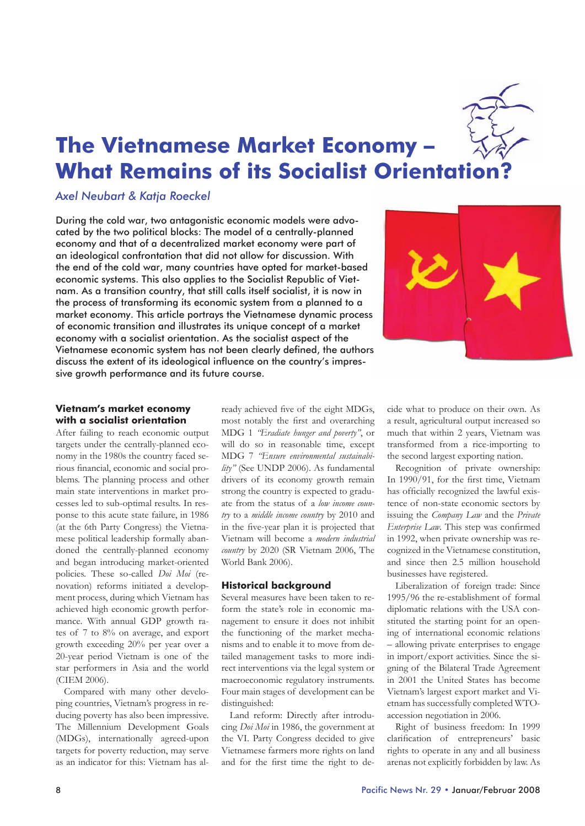

# **The Vietnamese Market Economy – What Remains of its Socialist Orientation?**

# *Axel Neubart & Katja Roeckel*

During the cold war, two antagonistic economic models were advocated by the two political blocks: The model of a centrally-planned economy and that of a decentralized market economy were part of an ideological confrontation that did not allow for discussion. With the end of the cold war, many countries have opted for market-based economic systems. This also applies to the Socialist Republic of Vietnam. As a transition country, that still calls itself socialist, it is now in the process of transforming its economic system from a planned to a market economy. This article portrays the Vietnamese dynamic process of economic transition and illustrates its unique concept of a market economy with a socialist orientation. As the socialist aspect of the Vietnamese economic system has not been clearly defined, the authors discuss the extent of its ideological influence on the country's impressive growth performance and its future course.



## **Vietnam's market economy with a socialist orientation**

After failing to reach economic output targets under the centrally-planned economy in the 1980s the country faced serious financial, economic and social problems. The planning process and other main state interventions in market processes led to sub-optimal results. In response to this acute state failure, in 1986 (at the 6th Party Congress) the Vietnamese political leadership formally abandoned the centrally-planned economy and began introducing market-oriented policies. These so-called *Doi Moi* (renovation) reforms initiated a development process, during which Vietnam has achieved high economic growth performance. With annual GDP growth rates of 7 to 8% on average, and export growth exceeding 20% per year over a 20-year period Vietnam is one of the star performers in Asia and the world (CIEM 2006).

Compared with many other developing countries, Vietnam's progress in reducing poverty has also been impressive. The Millennium Development Goals (MDGs), internationally agreed-upon targets for poverty reduction, may serve as an indicator for this: Vietnam has al-

ready achieved five of the eight MDGs, most notably the first and overarching MDG 1 *"Eradiate hunger and poverty"*, or will do so in reasonable time, except MDG 7 *"Ensure environmental sustainability"* (See UNDP 2006). As fundamental drivers of its economy growth remain strong the country is expected to graduate from the status of a *low income country* to a *middle income country* by 2010 and in the five-year plan it is projected that Vietnam will become a *modern industrial country* by 2020 (SR Vietnam 2006, The World Bank 2006).

## **Historical background**

Several measures have been taken to reform the state's role in economic management to ensure it does not inhibit the functioning of the market mechanisms and to enable it to move from detailed management tasks to more indirect interventions via the legal system or macroeconomic regulatory instruments. Four main stages of development can be distinguished:

Land reform: Directly after introducing *Doi Moi* in 1986, the government at the VI. Party Congress decided to give Vietnamese farmers more rights on land and for the first time the right to decide what to produce on their own. As a result, agricultural output increased so much that within 2 years, Vietnam was transformed from a rice-importing to the second largest exporting nation.

Recognition of private ownership: In 1990/91, for the first time, Vietnam has officially recognized the lawful existence of non-state economic sectors by issuing the *Company Law* and the *Private Enterprise Law*. This step was confirmed in 1992, when private ownership was recognized in the Vietnamese constitution, and since then 2.5 million household businesses have registered.

Liberalization of foreign trade: Since 1995/96 the re-establishment of formal diplomatic relations with the USA constituted the starting point for an opening of international economic relations – allowing private enterprises to engage in import/export activities. Since the signing of the Bilateral Trade Agreement in 2001 the United States has become Vietnam's largest export market and Vietnam has successfully completed WTOaccession negotiation in 2006.

Right of business freedom: In 1999 clarification of entrepreneurs' basic rights to operate in any and all business arenas not explicitly forbidden by law. As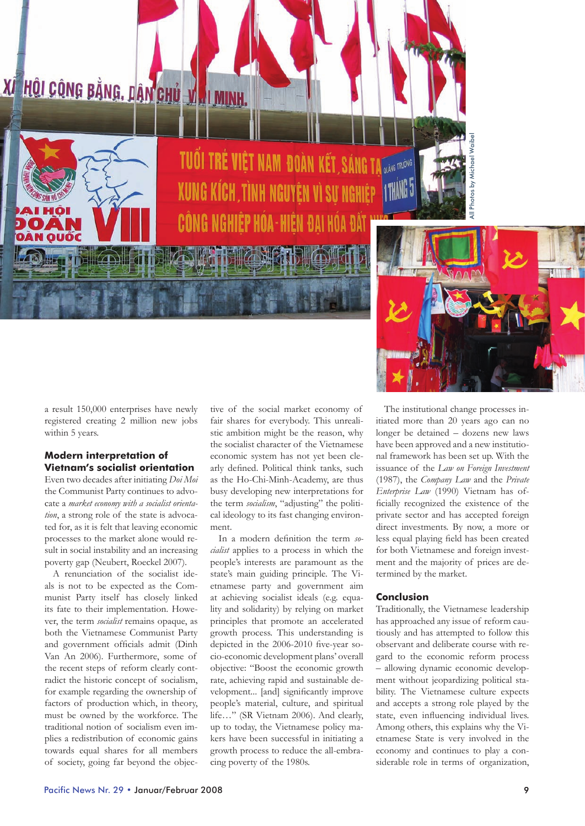XI HỘI CÔNG BẰNG. DÂN CHỦ VI NH



TUỔI TRÉ VIỆT NAM ĐOÀN KẾT, SÁNG TẠ QUANG TRUỘNG TRUỘNG **XUNG KÍCH, TÌNH NGUYÊN VÌ SƯ NGHIỆP** CÔNG NGHIỆP HÓA-HIẾN ĐẠI HÓA

All Photos by Michael WaibelPhotos by



a result 150,000 enterprises have newly registered creating 2 million new jobs within 5 years.

## **Modern interpretation of Vietnam's socialist orientation**

Even two decades after initiating *Doi Moi* the Communist Party continues to advocate a *market economy with a socialist orientation*, a strong role of the state is advocated for, as it is felt that leaving economic processes to the market alone would result in social instability and an increasing poverty gap (Neubert, Roeckel 2007).

A renunciation of the socialist ideals is not to be expected as the Communist Party itself has closely linked its fate to their implementation. However, the term *socialist* remains opaque, as both the Vietnamese Communist Party and government officials admit (Dinh Van An 2006). Furthermore, some of the recent steps of reform clearly contradict the historic concept of socialism, for example regarding the ownership of factors of production which, in theory, must be owned by the workforce. The traditional notion of socialism even implies a redistribution of economic gains towards equal shares for all members of society, going far beyond the objective of the social market economy of fair shares for everybody. This unrealistic ambition might be the reason, why the socialist character of the Vietnamese economic system has not yet been clearly defined. Political think tanks, such as the Ho-Chi-Minh-Academy, are thus busy developing new interpretations for the term *socialism*, "adjusting" the political ideology to its fast changing environment.

In a modern definition the term *socialist* applies to a process in which the people's interests are paramount as the state's main guiding principle. The Vietnamese party and government aim at achieving socialist ideals (e.g. equality and solidarity) by relying on market principles that promote an accelerated growth process. This understanding is depicted in the 2006-2010 five-year socio-economic development plans' overall objective: "Boost the economic growth rate, achieving rapid and sustainable development... [and] significantly improve people's material, culture, and spiritual life…" (SR Vietnam 2006). And clearly, up to today, the Vietnamese policy makers have been successful in initiating a growth process to reduce the all-embracing poverty of the 1980s.

The institutional change processes initiated more than 20 years ago can no longer be detained – dozens new laws have been approved and a new institutional framework has been set up. With the issuance of the *Law on Foreign Investment* (1987), the *Company Law* and the *Private Enterprise Law* (1990) Vietnam has officially recognized the existence of the private sector and has accepted foreign direct investments. By now, a more or less equal playing field has been created for both Vietnamese and foreign investment and the majority of prices are determined by the market.

#### **Conclusion**

Traditionally, the Vietnamese leadership has approached any issue of reform cautiously and has attempted to follow this observant and deliberate course with regard to the economic reform process – allowing dynamic economic development without jeopardizing political stability. The Vietnamese culture expects and accepts a strong role played by the state, even influencing individual lives. Among others, this explains why the Vietnamese State is very involved in the economy and continues to play a considerable role in terms of organization,